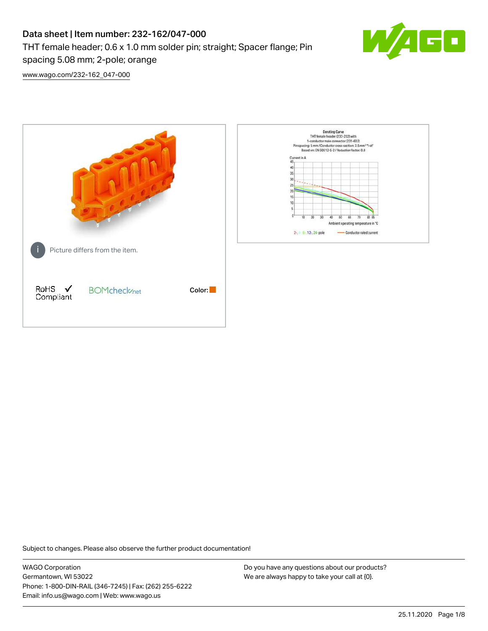# Data sheet | Item number: 232-162/047-000 THT female header; 0.6 x 1.0 mm solder pin; straight; Spacer flange; Pin spacing 5.08 mm; 2-pole; orange



[www.wago.com/232-162\\_047-000](http://www.wago.com/232-162_047-000)



Subject to changes. Please also observe the further product documentation!

WAGO Corporation Germantown, WI 53022 Phone: 1-800-DIN-RAIL (346-7245) | Fax: (262) 255-6222 Email: info.us@wago.com | Web: www.wago.us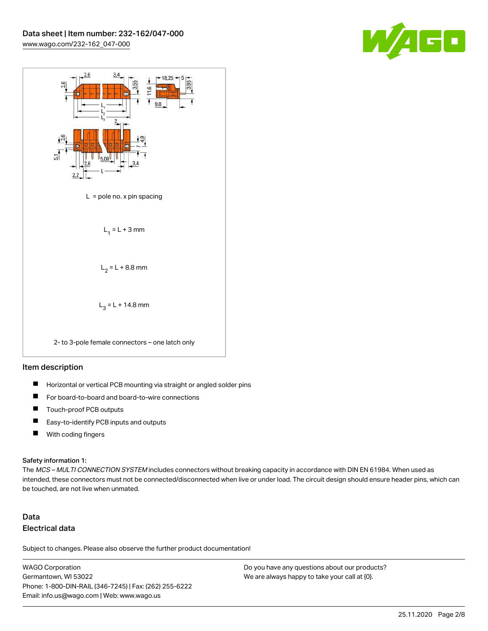



### Item description

- $\blacksquare$ Horizontal or vertical PCB mounting via straight or angled solder pins
- П For board-to-board and board-to-wire connections
- $\blacksquare$ Touch-proof PCB outputs
- $\blacksquare$ Easy-to-identify PCB inputs and outputs
- $\blacksquare$ With coding fingers

#### Safety information 1:

The MCS - MULTI CONNECTION SYSTEM includes connectors without breaking capacity in accordance with DIN EN 61984. When used as intended, these connectors must not be connected/disconnected when live or under load. The circuit design should ensure header pins, which can be touched, are not live when unmated.

# Data Electrical data

Subject to changes. Please also observe the further product documentation!

WAGO Corporation Germantown, WI 53022 Phone: 1-800-DIN-RAIL (346-7245) | Fax: (262) 255-6222 Email: info.us@wago.com | Web: www.wago.us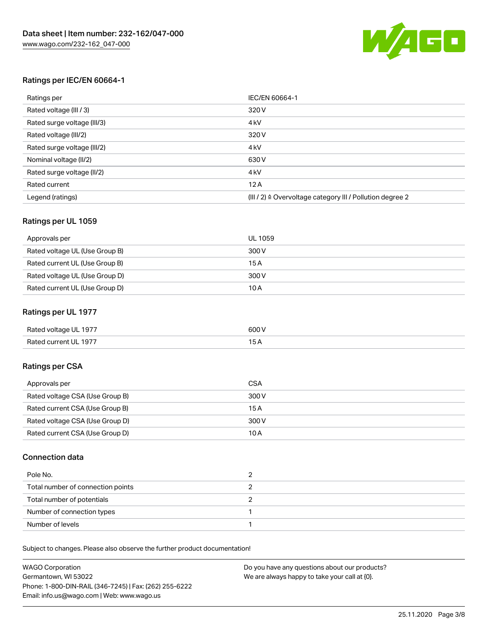

# Ratings per IEC/EN 60664-1

| Ratings per                 | IEC/EN 60664-1                                                        |
|-----------------------------|-----------------------------------------------------------------------|
| Rated voltage (III / 3)     | 320 V                                                                 |
| Rated surge voltage (III/3) | 4 <sub>k</sub> V                                                      |
| Rated voltage (III/2)       | 320 V                                                                 |
| Rated surge voltage (III/2) | 4 <sub>k</sub> V                                                      |
| Nominal voltage (II/2)      | 630 V                                                                 |
| Rated surge voltage (II/2)  | 4 <sub>k</sub> V                                                      |
| Rated current               | 12A                                                                   |
| Legend (ratings)            | $(III / 2)$ $\triangle$ Overvoltage category III / Pollution degree 2 |

# Ratings per UL 1059

| Approvals per                  | UL 1059 |
|--------------------------------|---------|
| Rated voltage UL (Use Group B) | 300 V   |
| Rated current UL (Use Group B) | 15 A    |
| Rated voltage UL (Use Group D) | 300 V   |
| Rated current UL (Use Group D) | 10 A    |

# Ratings per UL 1977

| Rated voltage UL 1977 | 600 <sup>V</sup><br>. |
|-----------------------|-----------------------|
| Rated current UL 1977 |                       |

# Ratings per CSA

| Approvals per                   | CSA   |
|---------------------------------|-------|
| Rated voltage CSA (Use Group B) | 300 V |
| Rated current CSA (Use Group B) | 15 A  |
| Rated voltage CSA (Use Group D) | 300 V |
| Rated current CSA (Use Group D) | 10 A  |

# Connection data

| Pole No.                          |  |
|-----------------------------------|--|
| Total number of connection points |  |
| Total number of potentials        |  |
| Number of connection types        |  |
| Number of levels                  |  |

Subject to changes. Please also observe the further product documentation!

| <b>WAGO Corporation</b>                                | Do you have any questions about our products? |
|--------------------------------------------------------|-----------------------------------------------|
| Germantown, WI 53022                                   | We are always happy to take your call at {0}. |
| Phone: 1-800-DIN-RAIL (346-7245)   Fax: (262) 255-6222 |                                               |
| Email: info.us@wago.com   Web: www.wago.us             |                                               |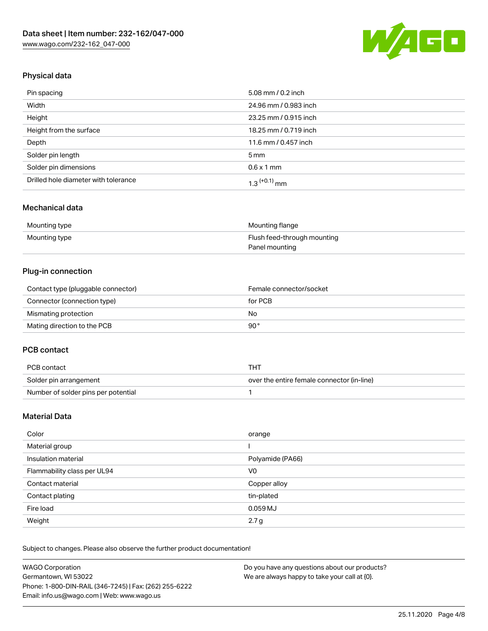

# Physical data

| Pin spacing                          | 5.08 mm / 0.2 inch    |
|--------------------------------------|-----------------------|
| Width                                | 24.96 mm / 0.983 inch |
| Height                               | 23.25 mm / 0.915 inch |
| Height from the surface              | 18.25 mm / 0.719 inch |
| Depth                                | 11.6 mm / 0.457 inch  |
| Solder pin length                    | $5 \,\mathrm{mm}$     |
| Solder pin dimensions                | $0.6 \times 1$ mm     |
| Drilled hole diameter with tolerance | $1.3$ $(+0.1)$ mm     |

# Mechanical data

| Mounting type | Mounting flange             |
|---------------|-----------------------------|
| Mounting type | Flush feed-through mounting |
|               | Panel mounting              |

# Plug-in connection

| Contact type (pluggable connector) | Female connector/socket |
|------------------------------------|-------------------------|
| Connector (connection type)        | for PCB                 |
| Mismating protection               | No                      |
| Mating direction to the PCB        | 90°                     |

# PCB contact

| PCB contact                         | THT                                        |
|-------------------------------------|--------------------------------------------|
| Solder pin arrangement              | over the entire female connector (in-line) |
| Number of solder pins per potential |                                            |

# Material Data

| Color                       | orange           |
|-----------------------------|------------------|
| Material group              |                  |
| Insulation material         | Polyamide (PA66) |
| Flammability class per UL94 | V0               |
| Contact material            | Copper alloy     |
| Contact plating             | tin-plated       |
| Fire load                   | 0.059 MJ         |
| Weight                      | 2.7 <sub>g</sub> |

Subject to changes. Please also observe the further product documentation!

| <b>WAGO Corporation</b>                                | Do you have any questions about our products? |
|--------------------------------------------------------|-----------------------------------------------|
| Germantown, WI 53022                                   | We are always happy to take your call at {0}. |
| Phone: 1-800-DIN-RAIL (346-7245)   Fax: (262) 255-6222 |                                               |
| Email: info.us@wago.com   Web: www.wago.us             |                                               |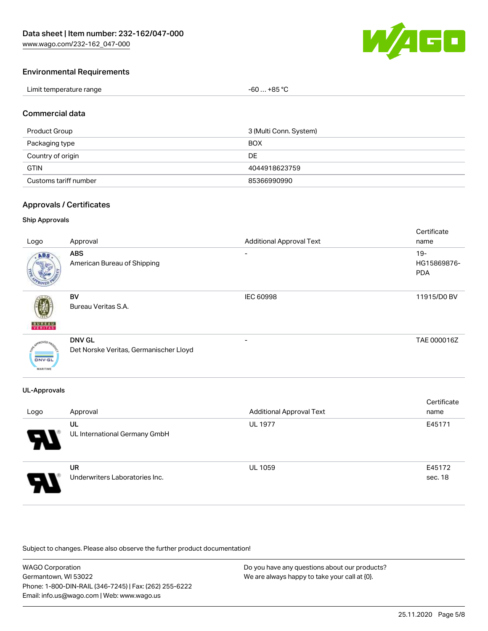

# Environmental Requirements

| Limit temperature range | $-60+85 °C$ |
|-------------------------|-------------|
|-------------------------|-------------|

### Commercial data

| 3 (Multi Conn. System)<br>Product Group |               |
|-----------------------------------------|---------------|
| <b>BOX</b><br>Packaging type            |               |
| Country of origin                       | DE            |
| <b>GTIN</b>                             | 4044918623759 |
| Customs tariff number                   | 85366990990   |

### Approvals / Certificates

### Ship Approvals

| Logo                                                   | Approval                                                | <b>Additional Approval Text</b> | Certificate<br>name                 |
|--------------------------------------------------------|---------------------------------------------------------|---------------------------------|-------------------------------------|
| ABS                                                    | <b>ABS</b><br>American Bureau of Shipping               | -                               | $19 -$<br>HG15869876-<br><b>PDA</b> |
| 蘷<br><b>BUREAU</b><br>VERITAS                          | <b>BV</b><br>Bureau Veritas S.A.                        | <b>IEC 60998</b>                | 11915/D0 BV                         |
| aOVED <sub>A</sub><br><b>DNV-GL</b><br><b>MARITIME</b> | <b>DNV GL</b><br>Det Norske Veritas, Germanischer Lloyd |                                 | TAE 000016Z                         |

# UL-Approvals

| Logo | Approval                                    | <b>Additional Approval Text</b> | Certificate<br>name |
|------|---------------------------------------------|---------------------------------|---------------------|
| 8    | UL<br>UL International Germany GmbH         | <b>UL 1977</b>                  | E45171              |
| Э.   | <b>UR</b><br>Underwriters Laboratories Inc. | <b>UL 1059</b>                  | E45172<br>sec. 18   |

Subject to changes. Please also observe the further product documentation!

| <b>WAGO Corporation</b>                                | Do you have any questions about our products? |
|--------------------------------------------------------|-----------------------------------------------|
| Germantown, WI 53022                                   | We are always happy to take your call at {0}. |
| Phone: 1-800-DIN-RAIL (346-7245)   Fax: (262) 255-6222 |                                               |
| Email: info.us@wago.com   Web: www.wago.us             |                                               |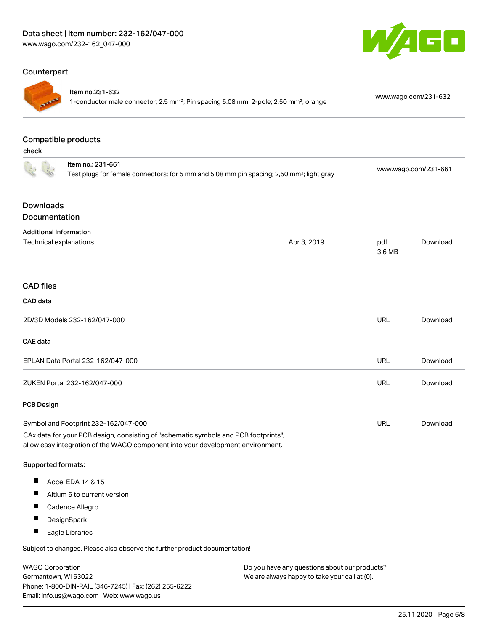# Counterpart



### Item no.231-632

1-conductor male connector; 2.5 mm²; Pin spacing 5.08 mm; 2-pole; 2,50 mm²; orange [www.wago.com/231-632](https://www.wago.com/231-632)

GO

### Compatible products

check

|                                                         | Item no.: 231-661<br>Test plugs for female connectors; for 5 mm and 5.08 mm pin spacing; 2,50 mm <sup>2</sup> ; light gray                                             |             | www.wago.com/231-661 |          |
|---------------------------------------------------------|------------------------------------------------------------------------------------------------------------------------------------------------------------------------|-------------|----------------------|----------|
| <b>Downloads</b><br>Documentation                       |                                                                                                                                                                        |             |                      |          |
|                                                         |                                                                                                                                                                        |             |                      |          |
| <b>Additional Information</b><br>Technical explanations |                                                                                                                                                                        | Apr 3, 2019 | pdf<br>3.6 MB        | Download |
| <b>CAD</b> files                                        |                                                                                                                                                                        |             |                      |          |
| <b>CAD</b> data                                         |                                                                                                                                                                        |             |                      |          |
|                                                         | 2D/3D Models 232-162/047-000                                                                                                                                           |             | URL                  | Download |
| <b>CAE</b> data                                         |                                                                                                                                                                        |             |                      |          |
|                                                         | EPLAN Data Portal 232-162/047-000                                                                                                                                      |             | <b>URL</b>           | Download |
|                                                         | ZUKEN Portal 232-162/047-000                                                                                                                                           |             | URL                  | Download |
| <b>PCB Design</b>                                       |                                                                                                                                                                        |             |                      |          |
|                                                         | Symbol and Footprint 232-162/047-000                                                                                                                                   |             | <b>URL</b>           | Download |
|                                                         | CAx data for your PCB design, consisting of "schematic symbols and PCB footprints",<br>allow easy integration of the WAGO component into your development environment. |             |                      |          |
| Supported formats:                                      |                                                                                                                                                                        |             |                      |          |
| ш                                                       | Accel EDA 14 & 15                                                                                                                                                      |             |                      |          |
| ш                                                       | Altium 6 to current version                                                                                                                                            |             |                      |          |
| a ka                                                    | Cadence Allegro                                                                                                                                                        |             |                      |          |
| ш                                                       | DesignSpark                                                                                                                                                            |             |                      |          |
| Ш                                                       | Eagle Libraries                                                                                                                                                        |             |                      |          |
|                                                         | Subject to changes. Please also observe the further product documentation!                                                                                             |             |                      |          |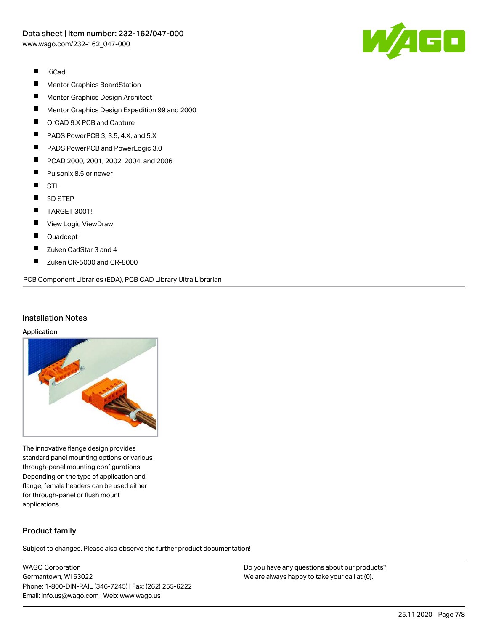

- $\blacksquare$ KiCad
- П Mentor Graphics BoardStation
- $\blacksquare$ Mentor Graphics Design Architect
- $\blacksquare$ Mentor Graphics Design Expedition 99 and 2000
- $\blacksquare$ OrCAD 9.X PCB and Capture
- $\blacksquare$ PADS PowerPCB 3, 3.5, 4.X, and 5.X
- $\blacksquare$ PADS PowerPCB and PowerLogic 3.0
- $\blacksquare$ PCAD 2000, 2001, 2002, 2004, and 2006
- П Pulsonix 8.5 or newer
- $\blacksquare$ STL
- $\blacksquare$ 3D STEP
- $\blacksquare$ TARGET 3001!
- $\blacksquare$ View Logic ViewDraw
- $\blacksquare$ Quadcept
- $\blacksquare$ Zuken CadStar 3 and 4
- $\blacksquare$ Zuken CR-5000 and CR-8000

PCB Component Libraries (EDA), PCB CAD Library Ultra Librarian

### Installation Notes

#### Application



The innovative flange design provides standard panel mounting options or various through-panel mounting configurations. Depending on the type of application and flange, female headers can be used either for through-panel or flush mount applications.

# Product family

Subject to changes. Please also observe the further product documentation!

WAGO Corporation Germantown, WI 53022 Phone: 1-800-DIN-RAIL (346-7245) | Fax: (262) 255-6222 Email: info.us@wago.com | Web: www.wago.us